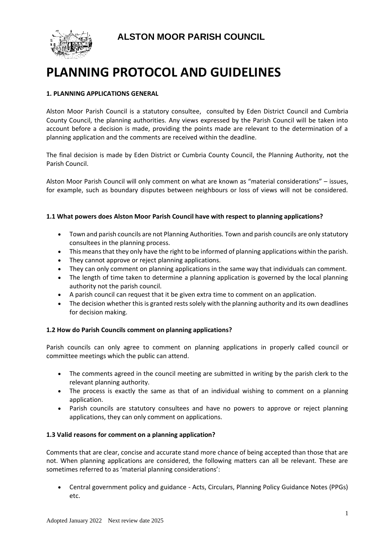**ALSTON MOOR PARISH COUNCIL**



# **PLANNING PROTOCOL AND GUIDELINES**

## **1. PLANNING APPLICATIONS GENERAL**

Alston Moor Parish Council is a statutory consultee, consulted by Eden District Council and Cumbria County Council, the planning authorities. Any views expressed by the Parish Council will be taken into account before a decision is made, providing the points made are relevant to the determination of a planning application and the comments are received within the deadline.

The final decision is made by Eden District or Cumbria County Council, the Planning Authority, **not** the Parish Council.

Alston Moor Parish Council will only comment on what are known as "material considerations" – issues, for example, such as boundary disputes between neighbours or loss of views will not be considered.

## **1.1 What powers does Alston Moor Parish Council have with respect to planning applications?**

- Town and parish councils are not Planning Authorities. Town and parish councils are only statutory consultees in the planning process.
- This means that they only have the right to be informed of planning applications within the parish.
- They cannot approve or reject planning applications.
- They can only comment on planning applications in the same way that individuals can comment.
- The length of time taken to determine a planning application is governed by the local planning authority not the parish council.
- A parish council can request that it be given extra time to comment on an application.
- The decision whether this is granted rests solely with the planning authority and its own deadlines for decision making.

## **1.2 How do Parish Councils comment on planning applications?**

Parish councils can only agree to comment on planning applications in properly called council or committee meetings which the public can attend.

- The comments agreed in the council meeting are submitted in writing by the parish clerk to the relevant planning authority.
- The process is exactly the same as that of an individual wishing to comment on a planning application.
- Parish councils are statutory consultees and have no powers to approve or reject planning applications, they can only comment on applications.

## **1.3 Valid reasons for comment on a planning application?**

Comments that are clear, concise and accurate stand more chance of being accepted than those that are not. When planning applications are considered, the following matters can all be relevant. These are sometimes referred to as 'material planning considerations':

• Central government policy and guidance - Acts, Circulars, Planning Policy Guidance Notes (PPGs) etc.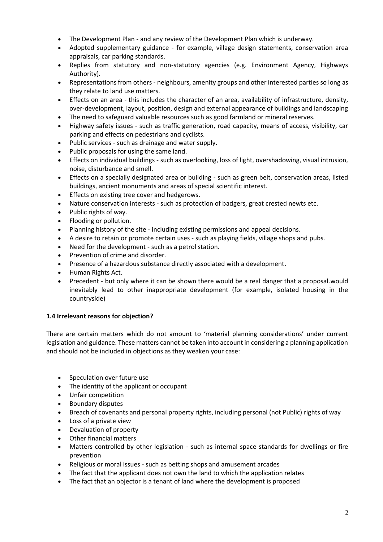- The Development Plan and any review of the Development Plan which is underway.
- Adopted supplementary guidance for example, village design statements, conservation area appraisals, car parking standards.
- Replies from statutory and non-statutory agencies (e.g. Environment Agency, Highways Authority).
- Representations from others neighbours, amenity groups and other interested parties so long as they relate to land use matters.
- Effects on an area this includes the character of an area, availability of infrastructure, density, over-development, layout, position, design and external appearance of buildings and landscaping
- The need to safeguard valuable resources such as good farmland or mineral reserves.
- Highway safety issues such as traffic generation, road capacity, means of access, visibility, car parking and effects on pedestrians and cyclists.
- Public services such as drainage and water supply.
- Public proposals for using the same land.
- Effects on individual buildings such as overlooking, loss of light, overshadowing, visual intrusion, noise, disturbance and smell.
- Effects on a specially designated area or building such as green belt, conservation areas, listed buildings, ancient monuments and areas of special scientific interest.
- Effects on existing tree cover and hedgerows.
- Nature conservation interests such as protection of badgers, great crested newts etc.
- Public rights of way.
- Flooding or pollution.
- Planning history of the site including existing permissions and appeal decisions.
- A desire to retain or promote certain uses such as playing fields, village shops and pubs.
- Need for the development such as a petrol station.
- Prevention of crime and disorder.
- Presence of a hazardous substance directly associated with a development.
- Human Rights Act.
- Precedent but only where it can be shown there would be a real danger that a proposal.would inevitably lead to other inappropriate development (for example, isolated housing in the countryside)

## **1.4 Irrelevant reasons for objection?**

There are certain matters which do not amount to 'material planning considerations' under current legislation and guidance. These matters cannot be taken into account in considering a planning application and should not be included in objections as they weaken your case:

- Speculation over future use
- The identity of the applicant or occupant
- Unfair competition
- Boundary disputes
- Breach of covenants and personal property rights, including personal (not Public) rights of way
- Loss of a private view
- Devaluation of property
- Other financial matters
- Matters controlled by other legislation such as internal space standards for dwellings or fire prevention
- Religious or moral issues such as betting shops and amusement arcades
- The fact that the applicant does not own the land to which the application relates
- The fact that an objector is a tenant of land where the development is proposed